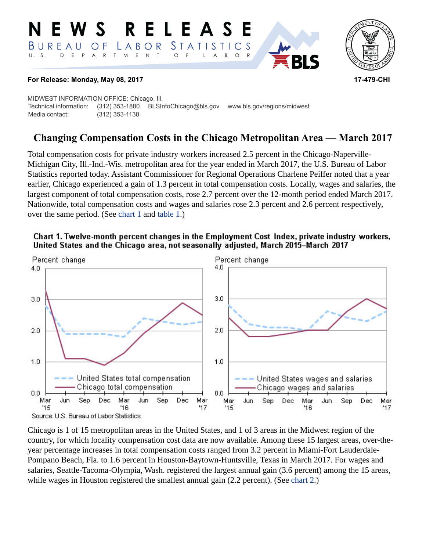#### **RELEAS**  $\mathbf S$ STATIS **TICS**  $B$  U R E A U  $L$   $A$   $B$   $O$   $R$ O F  $\top$  $\mathsf E$  $\top$ S. D E  $P$  $\overline{\mathsf{A}}$  ${\sf R}$ M  $\mathsf{N}\xspace$  $\circ$ B  $\circ$ A



# **For Release: Monday, May 08, 2017 17-479-CHI**

MIDWEST INFORMATION OFFICE: Chicago, Ill. Technical information: (312) 353-1880 BLSInfoChicago@bls.gov www.bls.gov/regions/midwest Media contact: (312) 353-1138

# **Changing Compensation Costs in the Chicago Metropolitan Area — March 2017**

Total compensation costs for private industry workers increased 2.5 percent in the Chicago-Naperville-Michigan City, Ill.-Ind.-Wis. metropolitan area for the year ended in March 2017, the U.S. Bureau of Labor Statistics reported today. Assistant Commissioner for Regional Operations Charlene Peiffer noted that a year earlier, Chicago experienced a gain of 1.3 percent in total compensation costs. Locally, wages and salaries, the largest component of total compensation costs, rose 2.7 percent over the 12-month period ended March 2017. Nationwide, total compensation costs and wages and salaries rose 2.3 percent and 2.6 percent respectively, over the same period. (See [chart 1](#page-0-0) and [table 1.](#page-4-0))



<span id="page-0-0"></span>Chart 1. Twelve-month percent changes in the Employment Cost Index, private industry workers, United States and the Chicago area, not seasonally adjusted, March 2015-March 2017

Chicago is 1 of 15 metropolitan areas in the United States, and 1 of 3 areas in the Midwest region of the country, for which locality compensation cost data are now available. Among these 15 largest areas, over-theyear percentage increases in total compensation costs ranged from 3.2 percent in Miami-Fort Lauderdale-Pompano Beach, Fla. to 1.6 percent in Houston-Baytown-Huntsville, Texas in March 2017. For wages and salaries, Seattle-Tacoma-Olympia, Wash. registered the largest annual gain (3.6 percent) among the 15 areas, while wages in Houston registered the smallest annual gain (2.2 percent). (See [chart 2.](#page-1-0))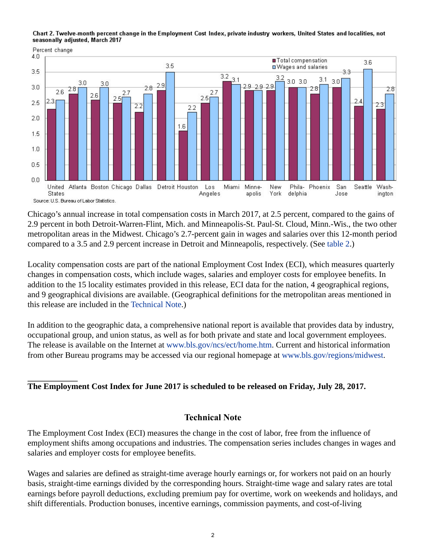<span id="page-1-0"></span>Chart 2. Twelve-month percent change in the Employment Cost Index, private industry workers, United States and localities, not seasonally adjusted, March 2017



Chicago's annual increase in total compensation costs in March 2017, at 2.5 percent, compared to the gains of 2.9 percent in both Detroit-Warren-Flint, Mich. and Minneapolis-St. Paul-St. Cloud, Minn.-Wis., the two other metropolitan areas in the Midwest. Chicago's 2.7-percent gain in wages and salaries over this 12-month period compared to a 3.5 and 2.9 percent increase in Detroit and Minneapolis, respectively. (See [table 2.](#page-5-0))

Locality compensation costs are part of the national Employment Cost Index (ECI), which measures quarterly changes in compensation costs, which include wages, salaries and employer costs for employee benefits. In addition to the 15 locality estimates provided in this release, ECI data for the nation, 4 geographical regions, and 9 geographical divisions are available. (Geographical definitions for the metropolitan areas mentioned in this release are included in the [Technical Note.](#page-1-1))

In addition to the geographic data, a comprehensive national report is available that provides data by industry, occupational group, and union status, as well as for both private and state and local government employees. The release is available on the Internet at [www.bls.gov/ncs/ect/home.htm.](https://www.bls.gov/ncs/ect/home.htm) Current and historical information from other Bureau programs may be accessed via our regional homepage at [www.bls.gov/regions/midwest](https://www.bls.gov/regions/midwest).

# **The Employment Cost Index for June 2017 is scheduled to be released on Friday, July 28, 2017.**

# **Technical Note**

<span id="page-1-1"></span>The Employment Cost Index (ECI) measures the change in the cost of labor, free from the influence of employment shifts among occupations and industries. The compensation series includes changes in wages and salaries and employer costs for employee benefits.

Wages and salaries are defined as straight-time average hourly earnings or, for workers not paid on an hourly basis, straight-time earnings divided by the corresponding hours. Straight-time wage and salary rates are total earnings before payroll deductions, excluding premium pay for overtime, work on weekends and holidays, and shift differentials. Production bonuses, incentive earnings, commission payments, and cost-of-living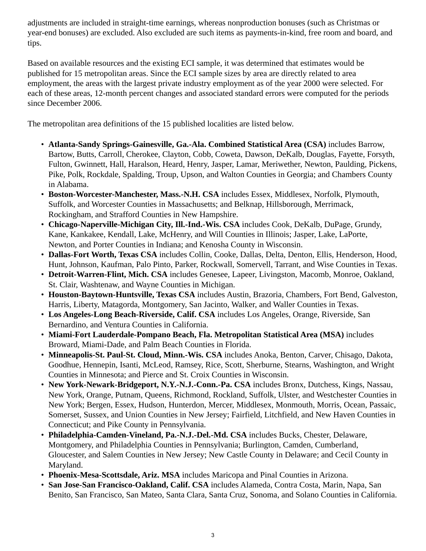adjustments are included in straight-time earnings, whereas nonproduction bonuses (such as Christmas or year-end bonuses) are excluded. Also excluded are such items as payments-in-kind, free room and board, and tips.

Based on available resources and the existing ECI sample, it was determined that estimates would be published for 15 metropolitan areas. Since the ECI sample sizes by area are directly related to area employment, the areas with the largest private industry employment as of the year 2000 were selected. For each of these areas, 12-month percent changes and associated standard errors were computed for the periods since December 2006.

The metropolitan area definitions of the 15 published localities are listed below.

- **Atlanta-Sandy Springs-Gainesville, Ga.-Ala. Combined Statistical Area (CSA)** includes Barrow, Bartow, Butts, Carroll, Cherokee, Clayton, Cobb, Coweta, Dawson, DeKalb, Douglas, Fayette, Forsyth, Fulton, Gwinnett, Hall, Haralson, Heard, Henry, Jasper, Lamar, Meriwether, Newton, Paulding, Pickens, Pike, Polk, Rockdale, Spalding, Troup, Upson, and Walton Counties in Georgia; and Chambers County in Alabama.
- **Boston-Worcester-Manchester, Mass.-N.H. CSA** includes Essex, Middlesex, Norfolk, Plymouth, Suffolk, and Worcester Counties in Massachusetts; and Belknap, Hillsborough, Merrimack, Rockingham, and Strafford Counties in New Hampshire.
- **Chicago-Naperville-Michigan City, Ill.-Ind.-Wis. CSA** includes Cook, DeKalb, DuPage, Grundy, Kane, Kankakee, Kendall, Lake, McHenry, and Will Counties in Illinois; Jasper, Lake, LaPorte, Newton, and Porter Counties in Indiana; and Kenosha County in Wisconsin.
- **Dallas-Fort Worth, Texas CSA** includes Collin, Cooke, Dallas, Delta, Denton, Ellis, Henderson, Hood, Hunt, Johnson, Kaufman, Palo Pinto, Parker, Rockwall, Somervell, Tarrant, and Wise Counties in Texas.
- **Detroit-Warren-Flint, Mich. CSA** includes Genesee, Lapeer, Livingston, Macomb, Monroe, Oakland, St. Clair, Washtenaw, and Wayne Counties in Michigan.
- **Houston-Baytown-Huntsville, Texas CSA** includes Austin, Brazoria, Chambers, Fort Bend, Galveston, Harris, Liberty, Matagorda, Montgomery, San Jacinto, Walker, and Waller Counties in Texas.
- **Los Angeles-Long Beach-Riverside, Calif. CSA** includes Los Angeles, Orange, Riverside, San Bernardino, and Ventura Counties in California.
- **Miami-Fort Lauderdale-Pompano Beach, Fla. Metropolitan Statistical Area (MSA)** includes Broward, Miami-Dade, and Palm Beach Counties in Florida.
- **Minneapolis-St. Paul-St. Cloud, Minn.-Wis. CSA** includes Anoka, Benton, Carver, Chisago, Dakota, Goodhue, Hennepin, Isanti, McLeod, Ramsey, Rice, Scott, Sherburne, Stearns, Washington, and Wright Counties in Minnesota; and Pierce and St. Croix Counties in Wisconsin.
- **New York-Newark-Bridgeport, N.Y.-N.J.-Conn.-Pa. CSA** includes Bronx, Dutchess, Kings, Nassau, New York, Orange, Putnam, Queens, Richmond, Rockland, Suffolk, Ulster, and Westchester Counties in New York; Bergen, Essex, Hudson, Hunterdon, Mercer, Middlesex, Monmouth, Morris, Ocean, Passaic, Somerset, Sussex, and Union Counties in New Jersey; Fairfield, Litchfield, and New Haven Counties in Connecticut; and Pike County in Pennsylvania.
- **Philadelphia-Camden-Vineland, Pa.-N.J.-Del.-Md. CSA** includes Bucks, Chester, Delaware, Montgomery, and Philadelphia Counties in Pennsylvania; Burlington, Camden, Cumberland, Gloucester, and Salem Counties in New Jersey; New Castle County in Delaware; and Cecil County in Maryland.
- **Phoenix-Mesa-Scottsdale, Ariz. MSA** includes Maricopa and Pinal Counties in Arizona.
- **San Jose-San Francisco-Oakland, Calif. CSA** includes Alameda, Contra Costa, Marin, Napa, San Benito, San Francisco, San Mateo, Santa Clara, Santa Cruz, Sonoma, and Solano Counties in California.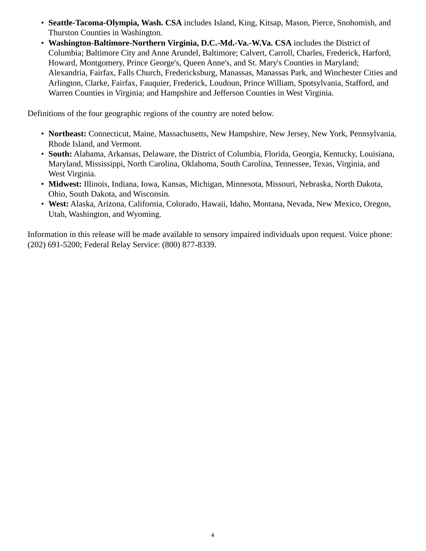- **Seattle-Tacoma-Olympia, Wash. CSA** includes Island, King, Kitsap, Mason, Pierce, Snohomish, and Thurston Counties in Washington.
- **Washington-Baltimore-Northern Virginia, D.C.-Md.-Va.-W.Va. CSA** includes the District of Columbia; Baltimore City and Anne Arundel, Baltimore; Calvert, Carroll, Charles, Frederick, Harford, Howard, Montgomery, Prince George's, Queen Anne's, and St. Mary's Counties in Maryland; Alexandria, Fairfax, Falls Church, Fredericksburg, Manassas, Manassas Park, and Winchester Cities and Arlington, Clarke, Fairfax, Fauquier, Frederick, Loudoun, Prince William, Spotsylvania, Stafford, and Warren Counties in Virginia; and Hampshire and Jefferson Counties in West Virginia.

Definitions of the four geographic regions of the country are noted below.

- **Northeast:** Connecticut, Maine, Massachusetts, New Hampshire, New Jersey, New York, Pennsylvania, Rhode Island, and Vermont.
- **South:** Alabama, Arkansas, Delaware, the District of Columbia, Florida, Georgia, Kentucky, Louisiana, Maryland, Mississippi, North Carolina, Oklahoma, South Carolina, Tennessee, Texas, Virginia, and West Virginia.
- **Midwest:** Illinois, Indiana, Iowa, Kansas, Michigan, Minnesota, Missouri, Nebraska, North Dakota, Ohio, South Dakota, and Wisconsin.
- **West:** Alaska, Arizona, California, Colorado, Hawaii, Idaho, Montana, Nevada, New Mexico, Oregon, Utah, Washington, and Wyoming.

Information in this release will be made available to sensory impaired individuals upon request. Voice phone: (202) 691-5200; Federal Relay Service: (800) 877-8339.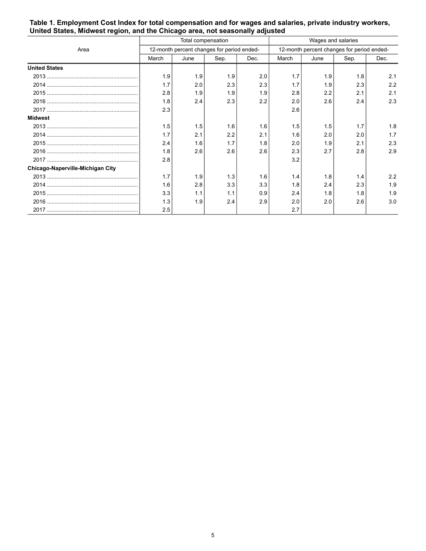|                                  | Total compensation                         |      |      |      | Wages and salaries                         |      |      |      |
|----------------------------------|--------------------------------------------|------|------|------|--------------------------------------------|------|------|------|
| Area                             | 12-month percent changes for period ended- |      |      |      | 12-month percent changes for period ended- |      |      |      |
|                                  | March                                      | June | Sep. | Dec. | March                                      | June | Sep. | Dec. |
| <b>United States</b>             |                                            |      |      |      |                                            |      |      |      |
|                                  | 1.9                                        | 1.9  | 1.9  | 2.0  | 1.7                                        | 1.9  | 1.8  | 2.1  |
|                                  | 1.7                                        | 2.0  | 2.3  | 2.3  | 1.7                                        | 1.9  | 2.3  | 2.2  |
|                                  | 2.8                                        | 1.9  | 1.9  | 1.9  | 2.8                                        | 2.2  | 2.1  | 2.1  |
|                                  | 1.8                                        | 2.4  | 2.3  | 2.2  | 2.0                                        | 2.6  | 2.4  | 2.3  |
|                                  | 2.3                                        |      |      |      | 2.6                                        |      |      |      |
| <b>Midwest</b>                   |                                            |      |      |      |                                            |      |      |      |
|                                  | 1.5                                        | 1.5  | 1.6  | 1.6  | 1.5                                        | 1.5  | 1.7  | 1.8  |
|                                  | 1.7                                        | 2.1  | 2.2  | 2.1  | 1.6                                        | 2.0  | 2.0  | 1.7  |
|                                  | 2.4                                        | 1.6  | 1.7  | 1.8  | 2.0                                        | 1.9  | 2.1  | 2.3  |
|                                  | 1.8                                        | 2.6  | 2.6  | 2.6  | 2.3                                        | 2.7  | 2.8  | 2.9  |
|                                  | 2.8                                        |      |      |      | 3.2                                        |      |      |      |
| Chicago-Naperville-Michigan City |                                            |      |      |      |                                            |      |      |      |
|                                  | 1.7                                        | 1.9  | 1.3  | 1.6  | 1.4                                        | 1.8  | 1.4  | 2.2  |
|                                  | 1.6                                        | 2.8  | 3.3  | 3.3  | 1.8                                        | 2.4  | 2.3  | 1.9  |
|                                  | 3.3                                        | 1.1  | 1.1  | 0.9  | 2.4                                        | 1.8  | 1.8  | 1.9  |
|                                  | 1.3                                        | 1.9  | 2.4  | 2.9  | 2.0                                        | 2.0  | 2.6  | 3.0  |
|                                  | 2.5                                        |      |      |      | 2.7                                        |      |      |      |

### <span id="page-4-0"></span>**Table 1. Employment Cost Index for total compensation and for wages and salaries, private industry workers, United States, Midwest region, and the Chicago area, not seasonally adjusted**